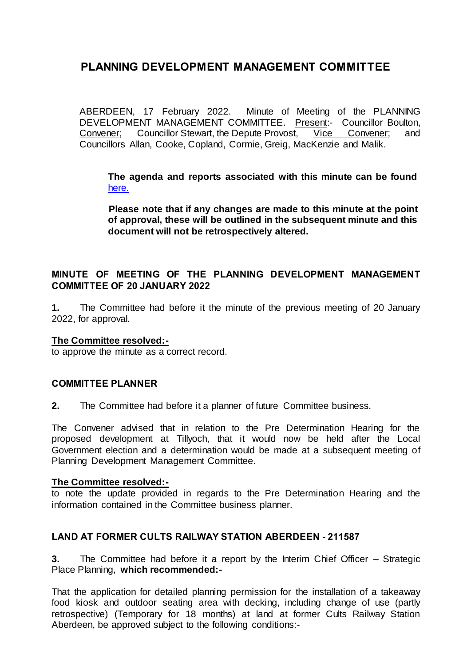ABERDEEN, 17 February 2022. Minute of Meeting of the PLANNING DEVELOPMENT MANAGEMENT COMMITTEE. Present:- Councillor Boulton,<br>Convener: Councillor Stewart, the Depute Provost, Vice Convener; and Convener; Councillor Stewart, the Depute Provost, Vice Convener; and Councillors Allan, Cooke, Copland, Cormie, Greig, MacKenzie and Malik.

**The agenda and reports associated with this minute can be found**  [here.](https://committees.aberdeencity.gov.uk/ieListDocuments.aspx?CId=348&MId=7979&Ver=4)

**Please note that if any changes are made to this minute at the point of approval, these will be outlined in the subsequent minute and this document will not be retrospectively altered.**

# **MINUTE OF MEETING OF THE PLANNING DEVELOPMENT MANAGEMENT COMMITTEE OF 20 JANUARY 2022**

**1.** The Committee had before it the minute of the previous meeting of 20 January 2022, for approval.

# **The Committee resolved:-**

to approve the minute as a correct record.

# **COMMITTEE PLANNER**

**2.** The Committee had before it a planner of future Committee business.

The Convener advised that in relation to the Pre Determination Hearing for the proposed development at Tillyoch, that it would now be held after the Local Government election and a determination would be made at a subsequent meeting of Planning Development Management Committee.

#### **The Committee resolved:-**

to note the update provided in regards to the Pre Determination Hearing and the information contained in the Committee business planner.

# **LAND AT FORMER CULTS RAILWAY STATION ABERDEEN - 211587**

**3.** The Committee had before it a report by the Interim Chief Officer – Strategic Place Planning, **which recommended:-**

That the application for detailed planning permission for the installation of a takeaway food kiosk and outdoor seating area with decking, including change of use (partly retrospective) (Temporary for 18 months) at land at former Cults Railway Station Aberdeen, be approved subject to the following conditions:-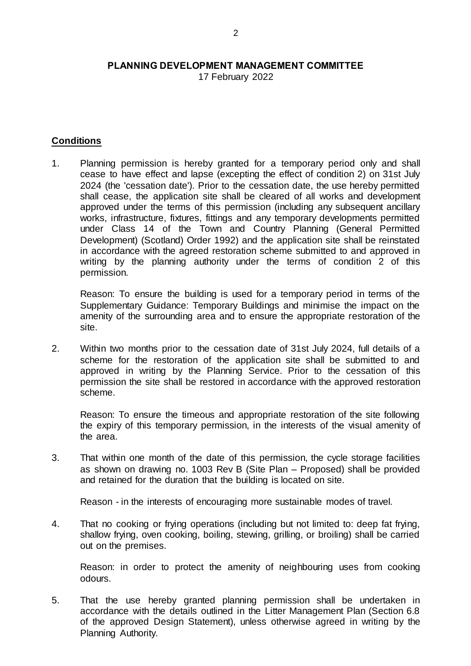17 February 2022

# **Conditions**

1. Planning permission is hereby granted for a temporary period only and shall cease to have effect and lapse (excepting the effect of condition 2) on 31st July 2024 (the 'cessation date'). Prior to the cessation date, the use hereby permitted shall cease, the application site shall be cleared of all works and development approved under the terms of this permission (including any subsequent ancillary works, infrastructure, fixtures, fittings and any temporary developments permitted under Class 14 of the Town and Country Planning (General Permitted Development) (Scotland) Order 1992) and the application site shall be reinstated in accordance with the agreed restoration scheme submitted to and approved in writing by the planning authority under the terms of condition 2 of this permission.

Reason: To ensure the building is used for a temporary period in terms of the Supplementary Guidance: Temporary Buildings and minimise the impact on the amenity of the surrounding area and to ensure the appropriate restoration of the site.

2. Within two months prior to the cessation date of 31st July 2024, full details of a scheme for the restoration of the application site shall be submitted to and approved in writing by the Planning Service. Prior to the cessation of this permission the site shall be restored in accordance with the approved restoration scheme.

Reason: To ensure the timeous and appropriate restoration of the site following the expiry of this temporary permission, in the interests of the visual amenity of the area.

3. That within one month of the date of this permission, the cycle storage facilities as shown on drawing no. 1003 Rev B (Site Plan – Proposed) shall be provided and retained for the duration that the building is located on site.

Reason - in the interests of encouraging more sustainable modes of travel.

4. That no cooking or frying operations (including but not limited to: deep fat frying, shallow frying, oven cooking, boiling, stewing, grilling, or broiling) shall be carried out on the premises.

Reason: in order to protect the amenity of neighbouring uses from cooking odours.

5. That the use hereby granted planning permission shall be undertaken in accordance with the details outlined in the Litter Management Plan (Section 6.8 of the approved Design Statement), unless otherwise agreed in writing by the Planning Authority.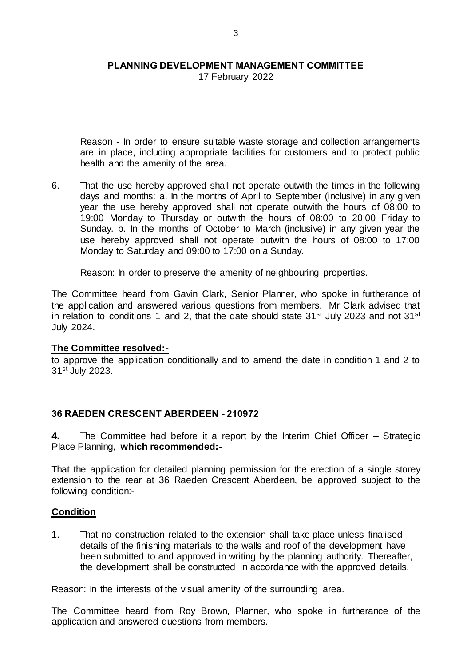17 February 2022

Reason - In order to ensure suitable waste storage and collection arrangements are in place, including appropriate facilities for customers and to protect public health and the amenity of the area.

6. That the use hereby approved shall not operate outwith the times in the following days and months: a. In the months of April to September (inclusive) in any given year the use hereby approved shall not operate outwith the hours of 08:00 to 19:00 Monday to Thursday or outwith the hours of 08:00 to 20:00 Friday to Sunday. b. In the months of October to March (inclusive) in any given year the use hereby approved shall not operate outwith the hours of 08:00 to 17:00 Monday to Saturday and 09:00 to 17:00 on a Sunday.

Reason: In order to preserve the amenity of neighbouring properties.

The Committee heard from Gavin Clark, Senior Planner, who spoke in furtherance of the application and answered various questions from members. Mr Clark advised that in relation to conditions 1 and 2, that the date should state  $31<sup>st</sup>$  July 2023 and not  $31<sup>st</sup>$ July 2024.

#### **The Committee resolved:-**

to approve the application conditionally and to amend the date in condition 1 and 2 to 31st July 2023.

# **36 RAEDEN CRESCENT ABERDEEN - 210972**

**4.** The Committee had before it a report by the Interim Chief Officer – Strategic Place Planning, **which recommended:-**

That the application for detailed planning permission for the erection of a single storey extension to the rear at 36 Raeden Crescent Aberdeen, be approved subject to the following condition:-

# **Condition**

1. That no construction related to the extension shall take place unless finalised details of the finishing materials to the walls and roof of the development have been submitted to and approved in writing by the planning authority. Thereafter, the development shall be constructed in accordance with the approved details.

Reason: In the interests of the visual amenity of the surrounding area.

The Committee heard from Roy Brown, Planner, who spoke in furtherance of the application and answered questions from members.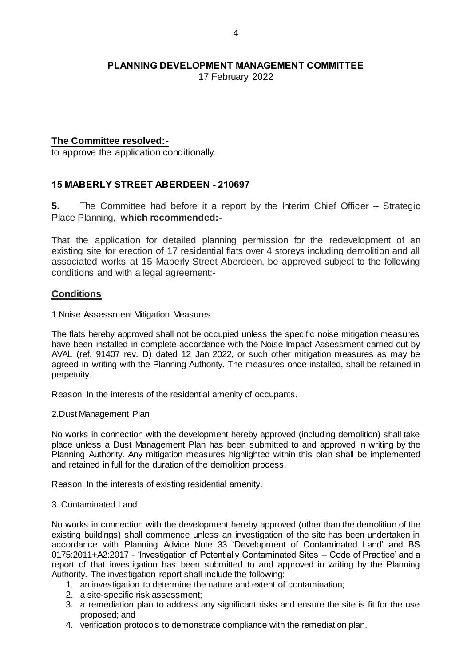17 February 2022

# **The Committee resolved:-**

to approve the application conditionally.

# **15 MABERLY STREET ABERDEEN - 210697**

**5.** The Committee had before it a report by the Interim Chief Officer – Strategic Place Planning, **which recommended:-**

That the application for detailed planning permission for the redevelopment of an existing site for erection of 17 residential flats over 4 storeys including demolition and all associated works at 15 Maberly Street Aberdeen, be approved subject to the following conditions and with a legal agreement:-

# **Conditions**

#### 1.Noise Assessment Mitigation Measures

The flats hereby approved shall not be occupied unless the specific noise mitigation measures have been installed in complete accordance with the Noise Impact Assessment carried out by AVAL (ref. 91407 rev. D) dated 12 Jan 2022, or such other mitigation measures as may be agreed in writing with the Planning Authority. The measures once installed, shall be retained in perpetuity.

Reason: In the interests of the residential amenity of occupants.

2.Dust Management Plan

No works in connection with the development hereby approved (including demolition) shall take place unless a Dust Management Plan has been submitted to and approved in writing by the Planning Authority. Any mitigation measures highlighted within this plan shall be implemented and retained in full for the duration of the demolition process.

Reason: In the interests of existing residential amenity.

#### 3. Contaminated Land

No works in connection with the development hereby approved (other than the demolition of the existing buildings) shall commence unless an investigation of the site has been undertaken in accordance with Planning Advice Note 33 'Development of Contaminated Land' and BS 0175:2011+A2:2017 - 'Investigation of Potentially Contaminated Sites – Code of Practice' and a report of that investigation has been submitted to and approved in writing by the Planning Authority. The investigation report shall include the following:

- 1. an investigation to determine the nature and extent of contamination;
- 2. a site-specific risk assessment;
- 3. a remediation plan to address any significant risks and ensure the site is fit for the use proposed; and
- 4. verification protocols to demonstrate compliance with the remediation plan.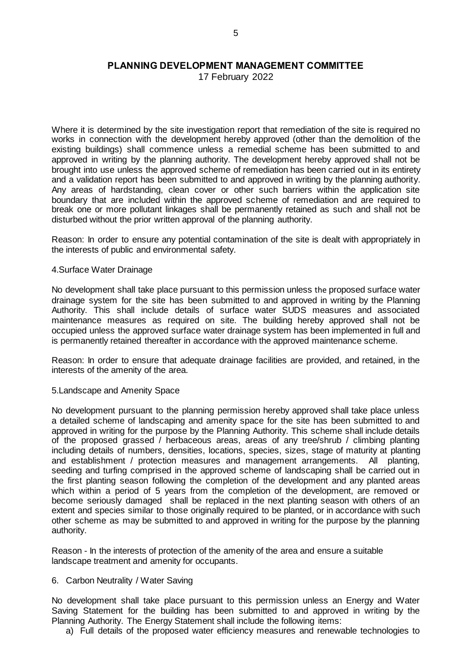17 February 2022

Where it is determined by the site investigation report that remediation of the site is required no works in connection with the development hereby approved (other than the demolition of the existing buildings) shall commence unless a remedial scheme has been submitted to and approved in writing by the planning authority. The development hereby approved shall not be brought into use unless the approved scheme of remediation has been carried out in its entirety and a validation report has been submitted to and approved in writing by the planning authority. Any areas of hardstanding, clean cover or other such barriers within the application site boundary that are included within the approved scheme of remediation and are required to break one or more pollutant linkages shall be permanently retained as such and shall not be disturbed without the prior written approval of the planning authority.

Reason: In order to ensure any potential contamination of the site is dealt with appropriately in the interests of public and environmental safety.

#### 4.Surface Water Drainage

No development shall take place pursuant to this permission unless the proposed surface water drainage system for the site has been submitted to and approved in writing by the Planning Authority. This shall include details of surface water SUDS measures and associated maintenance measures as required on site. The building hereby approved shall not be occupied unless the approved surface water drainage system has been implemented in full and is permanently retained thereafter in accordance with the approved maintenance scheme.

Reason: In order to ensure that adequate drainage facilities are provided, and retained, in the interests of the amenity of the area.

5.Landscape and Amenity Space

No development pursuant to the planning permission hereby approved shall take place unless a detailed scheme of landscaping and amenity space for the site has been submitted to and approved in writing for the purpose by the Planning Authority. This scheme shall include details of the proposed grassed / herbaceous areas, areas of any tree/shrub / climbing planting including details of numbers, densities, locations, species, sizes, stage of maturity at planting and establishment / protection measures and management arrangements. All planting, seeding and turfing comprised in the approved scheme of landscaping shall be carried out in the first planting season following the completion of the development and any planted areas which within a period of 5 years from the completion of the development, are removed or become seriously damaged shall be replaced in the next planting season with others of an extent and species similar to those originally required to be planted, or in accordance with such other scheme as may be submitted to and approved in writing for the purpose by the planning authority.

Reason - In the interests of protection of the amenity of the area and ensure a suitable landscape treatment and amenity for occupants.

#### 6. Carbon Neutrality / Water Saving

No development shall take place pursuant to this permission unless an Energy and Water Saving Statement for the building has been submitted to and approved in writing by the Planning Authority. The Energy Statement shall include the following items:

a) Full details of the proposed water efficiency measures and renewable technologies to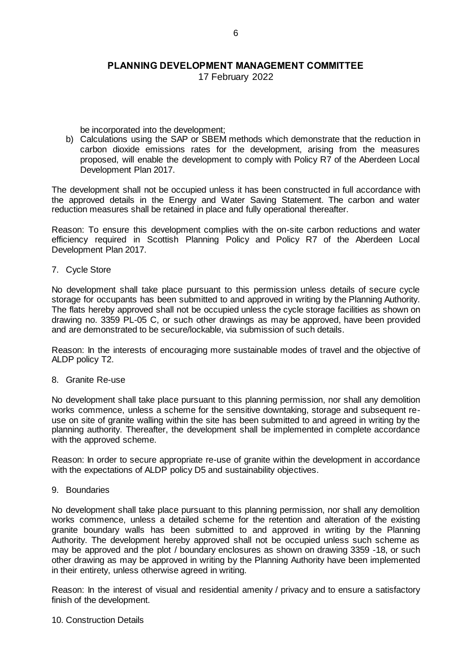17 February 2022

be incorporated into the development;

b) Calculations using the SAP or SBEM methods which demonstrate that the reduction in carbon dioxide emissions rates for the development, arising from the measures proposed, will enable the development to comply with Policy R7 of the Aberdeen Local Development Plan 2017.

The development shall not be occupied unless it has been constructed in full accordance with the approved details in the Energy and Water Saving Statement. The carbon and water reduction measures shall be retained in place and fully operational thereafter.

Reason: To ensure this development complies with the on-site carbon reductions and water efficiency required in Scottish Planning Policy and Policy R7 of the Aberdeen Local Development Plan 2017.

#### 7. Cycle Store

No development shall take place pursuant to this permission unless details of secure cycle storage for occupants has been submitted to and approved in writing by the Planning Authority. The flats hereby approved shall not be occupied unless the cycle storage facilities as shown on drawing no. 3359 PL-05 C, or such other drawings as may be approved, have been provided and are demonstrated to be secure/lockable, via submission of such details.

Reason: In the interests of encouraging more sustainable modes of travel and the objective of ALDP policy T2.

#### 8. Granite Re-use

No development shall take place pursuant to this planning permission, nor shall any demolition works commence, unless a scheme for the sensitive downtaking, storage and subsequent reuse on site of granite walling within the site has been submitted to and agreed in writing by the planning authority. Thereafter, the development shall be implemented in complete accordance with the approved scheme.

Reason: In order to secure appropriate re-use of granite within the development in accordance with the expectations of ALDP policy D5 and sustainability objectives.

9. Boundaries

No development shall take place pursuant to this planning permission, nor shall any demolition works commence, unless a detailed scheme for the retention and alteration of the existing granite boundary walls has been submitted to and approved in writing by the Planning Authority. The development hereby approved shall not be occupied unless such scheme as may be approved and the plot / boundary enclosures as shown on drawing 3359 -18, or such other drawing as may be approved in writing by the Planning Authority have been implemented in their entirety, unless otherwise agreed in writing.

Reason: In the interest of visual and residential amenity / privacy and to ensure a satisfactory finish of the development.

#### 10. Construction Details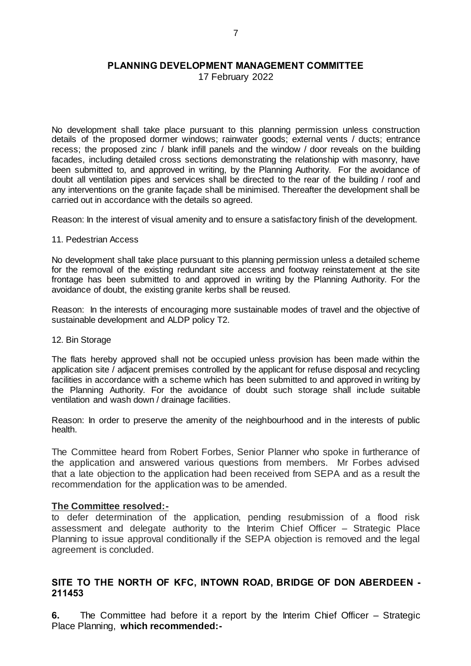17 February 2022

No development shall take place pursuant to this planning permission unless construction details of the proposed dormer windows; rainwater goods; external vents / ducts; entrance recess; the proposed zinc / blank infill panels and the window / door reveals on the building facades, including detailed cross sections demonstrating the relationship with masonry, have been submitted to, and approved in writing, by the Planning Authority. For the avoidance of doubt all ventilation pipes and services shall be directed to the rear of the building / roof and any interventions on the granite façade shall be minimised. Thereafter the development shall be carried out in accordance with the details so agreed.

Reason: In the interest of visual amenity and to ensure a satisfactory finish of the development.

#### 11. Pedestrian Access

No development shall take place pursuant to this planning permission unless a detailed scheme for the removal of the existing redundant site access and footway reinstatement at the site frontage has been submitted to and approved in writing by the Planning Authority. For the avoidance of doubt, the existing granite kerbs shall be reused.

Reason: In the interests of encouraging more sustainable modes of travel and the objective of sustainable development and ALDP policy T2.

#### 12. Bin Storage

The flats hereby approved shall not be occupied unless provision has been made within the application site / adjacent premises controlled by the applicant for refuse disposal and recycling facilities in accordance with a scheme which has been submitted to and approved in writing by the Planning Authority. For the avoidance of doubt such storage shall include suitable ventilation and wash down / drainage facilities.

Reason: In order to preserve the amenity of the neighbourhood and in the interests of public health.

The Committee heard from Robert Forbes, Senior Planner who spoke in furtherance of the application and answered various questions from members. Mr Forbes advised that a late objection to the application had been received from SEPA and as a result the recommendation for the application was to be amended.

#### **The Committee resolved:-**

to defer determination of the application, pending resubmission of a flood risk assessment and delegate authority to the Interim Chief Officer – Strategic Place Planning to issue approval conditionally if the SEPA objection is removed and the legal agreement is concluded.

# **SITE TO THE NORTH OF KFC, INTOWN ROAD, BRIDGE OF DON ABERDEEN - 211453**

**6.** The Committee had before it a report by the Interim Chief Officer – Strategic Place Planning, **which recommended:-**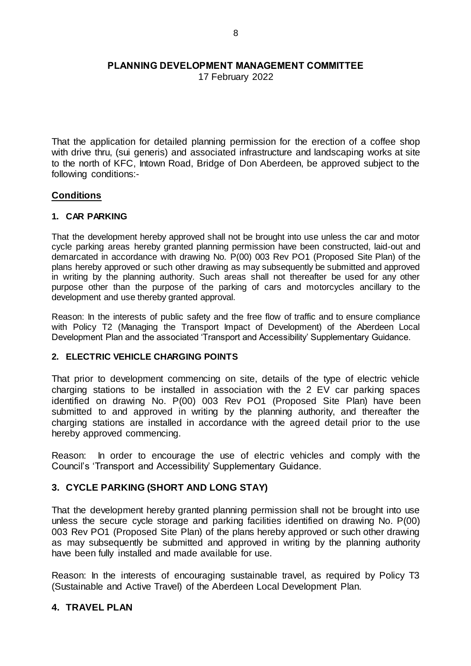17 February 2022

That the application for detailed planning permission for the erection of a coffee shop with drive thru, (sui generis) and associated infrastructure and landscaping works at site to the north of KFC, Intown Road, Bridge of Don Aberdeen, be approved subject to the following conditions:-

### **Conditions**

### **1. CAR PARKING**

That the development hereby approved shall not be brought into use unless the car and motor cycle parking areas hereby granted planning permission have been constructed, laid-out and demarcated in accordance with drawing No. P(00) 003 Rev PO1 (Proposed Site Plan) of the plans hereby approved or such other drawing as may subsequently be submitted and approved in writing by the planning authority. Such areas shall not thereafter be used for any other purpose other than the purpose of the parking of cars and motorcycles ancillary to the development and use thereby granted approval.

Reason: In the interests of public safety and the free flow of traffic and to ensure compliance with Policy T2 (Managing the Transport Impact of Development) of the Aberdeen Local Development Plan and the associated 'Transport and Accessibility' Supplementary Guidance.

#### **2. ELECTRIC VEHICLE CHARGING POINTS**

That prior to development commencing on site, details of the type of electric vehicle charging stations to be installed in association with the 2 EV car parking spaces identified on drawing No. P(00) 003 Rev PO1 (Proposed Site Plan) have been submitted to and approved in writing by the planning authority, and thereafter the charging stations are installed in accordance with the agreed detail prior to the use hereby approved commencing.

Reason: In order to encourage the use of electric vehicles and comply with the Council's 'Transport and Accessibility' Supplementary Guidance.

# **3. CYCLE PARKING (SHORT AND LONG STAY)**

That the development hereby granted planning permission shall not be brought into use unless the secure cycle storage and parking facilities identified on drawing No. P(00) 003 Rev PO1 (Proposed Site Plan) of the plans hereby approved or such other drawing as may subsequently be submitted and approved in writing by the planning authority have been fully installed and made available for use.

Reason: In the interests of encouraging sustainable travel, as required by Policy T3 (Sustainable and Active Travel) of the Aberdeen Local Development Plan.

# **4. TRAVEL PLAN**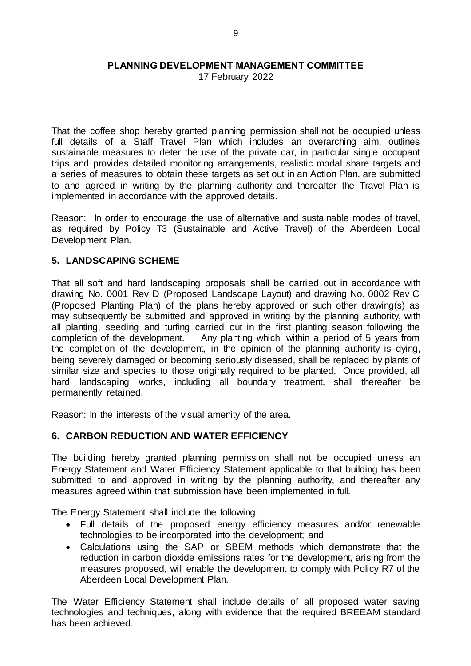17 February 2022

That the coffee shop hereby granted planning permission shall not be occupied unless full details of a Staff Travel Plan which includes an overarching aim, outlines sustainable measures to deter the use of the private car, in particular single occupant trips and provides detailed monitoring arrangements, realistic modal share targets and a series of measures to obtain these targets as set out in an Action Plan, are submitted to and agreed in writing by the planning authority and thereafter the Travel Plan is implemented in accordance with the approved details.

Reason: In order to encourage the use of alternative and sustainable modes of travel, as required by Policy T3 (Sustainable and Active Travel) of the Aberdeen Local Development Plan.

# **5. LANDSCAPING SCHEME**

That all soft and hard landscaping proposals shall be carried out in accordance with drawing No. 0001 Rev D (Proposed Landscape Layout) and drawing No. 0002 Rev C (Proposed Planting Plan) of the plans hereby approved or such other drawing(s) as may subsequently be submitted and approved in writing by the planning authority, with all planting, seeding and turfing carried out in the first planting season following the completion of the development. Any planting which, within a period of 5 years from the completion of the development, in the opinion of the planning authority is dying, being severely damaged or becoming seriously diseased, shall be replaced by plants of similar size and species to those originally required to be planted. Once provided, all hard landscaping works, including all boundary treatment, shall thereafter be permanently retained.

Reason: In the interests of the visual amenity of the area.

# **6. CARBON REDUCTION AND WATER EFFICIENCY**

The building hereby granted planning permission shall not be occupied unless an Energy Statement and Water Efficiency Statement applicable to that building has been submitted to and approved in writing by the planning authority, and thereafter any measures agreed within that submission have been implemented in full.

The Energy Statement shall include the following:

- Full details of the proposed energy efficiency measures and/or renewable technologies to be incorporated into the development; and
- Calculations using the SAP or SBEM methods which demonstrate that the reduction in carbon dioxide emissions rates for the development, arising from the measures proposed, will enable the development to comply with Policy R7 of the Aberdeen Local Development Plan.

The Water Efficiency Statement shall include details of all proposed water saving technologies and techniques, along with evidence that the required BREEAM standard has been achieved.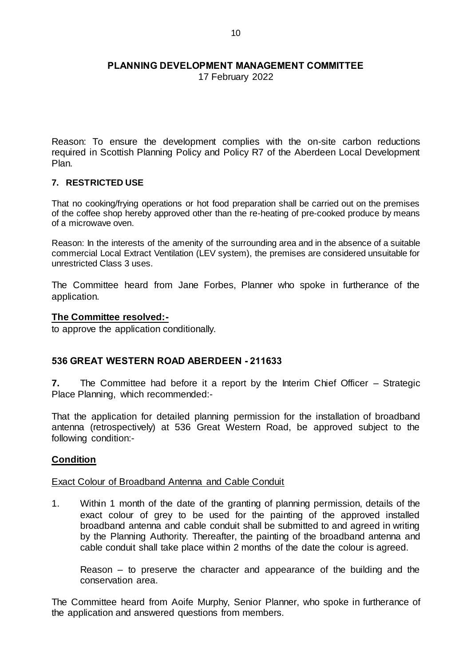17 February 2022

Reason: To ensure the development complies with the on-site carbon reductions required in Scottish Planning Policy and Policy R7 of the Aberdeen Local Development Plan.

### **7. RESTRICTED USE**

That no cooking/frying operations or hot food preparation shall be carried out on the premises of the coffee shop hereby approved other than the re-heating of pre-cooked produce by means of a microwave oven.

Reason: In the interests of the amenity of the surrounding area and in the absence of a suitable commercial Local Extract Ventilation (LEV system), the premises are considered unsuitable for unrestricted Class 3 uses.

The Committee heard from Jane Forbes, Planner who spoke in furtherance of the application.

### **The Committee resolved:-**

to approve the application conditionally.

# **536 GREAT WESTERN ROAD ABERDEEN - 211633**

**7.** The Committee had before it a report by the Interim Chief Officer – Strategic Place Planning, which recommended:-

That the application for detailed planning permission for the installation of broadband antenna (retrospectively) at 536 Great Western Road, be approved subject to the following condition:-

# **Condition**

#### Exact Colour of Broadband Antenna and Cable Conduit

1. Within 1 month of the date of the granting of planning permission, details of the exact colour of grey to be used for the painting of the approved installed broadband antenna and cable conduit shall be submitted to and agreed in writing by the Planning Authority. Thereafter, the painting of the broadband antenna and cable conduit shall take place within 2 months of the date the colour is agreed.

Reason – to preserve the character and appearance of the building and the conservation area.

The Committee heard from Aoife Murphy, Senior Planner, who spoke in furtherance of the application and answered questions from members.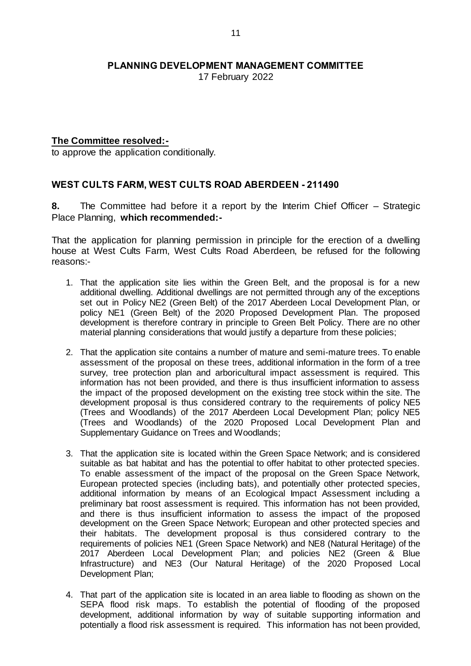17 February 2022

### **The Committee resolved:-**

to approve the application conditionally.

# **WEST CULTS FARM, WEST CULTS ROAD ABERDEEN - 211490**

**8.** The Committee had before it a report by the Interim Chief Officer – Strategic Place Planning, **which recommended:-**

That the application for planning permission in principle for the erection of a dwelling house at West Cults Farm, West Cults Road Aberdeen, be refused for the following reasons:-

- 1. That the application site lies within the Green Belt, and the proposal is for a new additional dwelling. Additional dwellings are not permitted through any of the exceptions set out in Policy NE2 (Green Belt) of the 2017 Aberdeen Local Development Plan, or policy NE1 (Green Belt) of the 2020 Proposed Development Plan. The proposed development is therefore contrary in principle to Green Belt Policy. There are no other material planning considerations that would justify a departure from these policies;
- 2. That the application site contains a number of mature and semi-mature trees. To enable assessment of the proposal on these trees, additional information in the form of a tree survey, tree protection plan and arboricultural impact assessment is required. This information has not been provided, and there is thus insufficient information to assess the impact of the proposed development on the existing tree stock within the site. The development proposal is thus considered contrary to the requirements of policy NE5 (Trees and Woodlands) of the 2017 Aberdeen Local Development Plan; policy NE5 (Trees and Woodlands) of the 2020 Proposed Local Development Plan and Supplementary Guidance on Trees and Woodlands;
- 3. That the application site is located within the Green Space Network; and is considered suitable as bat habitat and has the potential to offer habitat to other protected species. To enable assessment of the impact of the proposal on the Green Space Network, European protected species (including bats), and potentially other protected species, additional information by means of an Ecological Impact Assessment including a preliminary bat roost assessment is required. This information has not been provided, and there is thus insufficient information to assess the impact of the proposed development on the Green Space Network; European and other protected species and their habitats. The development proposal is thus considered contrary to the requirements of policies NE1 (Green Space Network) and NE8 (Natural Heritage) of the 2017 Aberdeen Local Development Plan; and policies NE2 (Green & Blue Infrastructure) and NE3 (Our Natural Heritage) of the 2020 Proposed Local Development Plan;
- 4. That part of the application site is located in an area liable to flooding as shown on the SEPA flood risk maps. To establish the potential of flooding of the proposed development, additional information by way of suitable supporting information and potentially a flood risk assessment is required. This information has not been provided,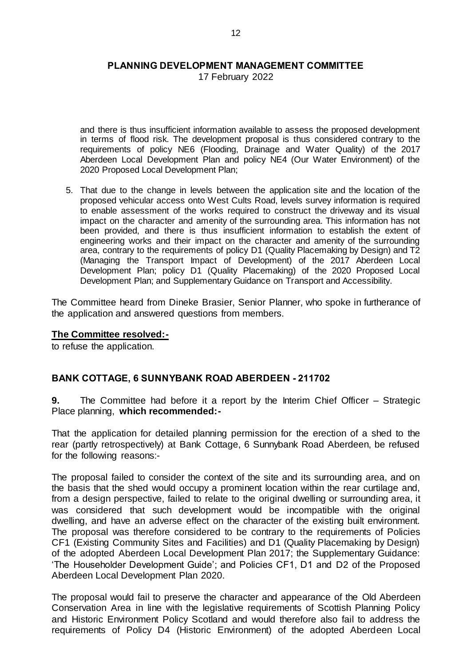17 February 2022

and there is thus insufficient information available to assess the proposed development in terms of flood risk. The development proposal is thus considered contrary to the requirements of policy NE6 (Flooding, Drainage and Water Quality) of the 2017 Aberdeen Local Development Plan and policy NE4 (Our Water Environment) of the 2020 Proposed Local Development Plan;

5. That due to the change in levels between the application site and the location of the proposed vehicular access onto West Cults Road, levels survey information is required to enable assessment of the works required to construct the driveway and its visual impact on the character and amenity of the surrounding area. This information has not been provided, and there is thus insufficient information to establish the extent of engineering works and their impact on the character and amenity of the surrounding area, contrary to the requirements of policy D1 (Quality Placemaking by Design) and T2 (Managing the Transport Impact of Development) of the 2017 Aberdeen Local Development Plan; policy D1 (Quality Placemaking) of the 2020 Proposed Local Development Plan; and Supplementary Guidance on Transport and Accessibility.

The Committee heard from Dineke Brasier, Senior Planner, who spoke in furtherance of the application and answered questions from members.

#### **The Committee resolved:-**

to refuse the application.

# **BANK COTTAGE, 6 SUNNYBANK ROAD ABERDEEN - 211702**

**9.** The Committee had before it a report by the Interim Chief Officer – Strategic Place planning, **which recommended:-**

That the application for detailed planning permission for the erection of a shed to the rear (partly retrospectively) at Bank Cottage, 6 Sunnybank Road Aberdeen, be refused for the following reasons:-

The proposal failed to consider the context of the site and its surrounding area, and on the basis that the shed would occupy a prominent location within the rear curtilage and, from a design perspective, failed to relate to the original dwelling or surrounding area, it was considered that such development would be incompatible with the original dwelling, and have an adverse effect on the character of the existing built environment. The proposal was therefore considered to be contrary to the requirements of Policies CF1 (Existing Community Sites and Facilities) and D1 (Quality Placemaking by Design) of the adopted Aberdeen Local Development Plan 2017; the Supplementary Guidance: 'The Householder Development Guide'; and Policies CF1, D1 and D2 of the Proposed Aberdeen Local Development Plan 2020.

The proposal would fail to preserve the character and appearance of the Old Aberdeen Conservation Area in line with the legislative requirements of Scottish Planning Policy and Historic Environment Policy Scotland and would therefore also fail to address the requirements of Policy D4 (Historic Environment) of the adopted Aberdeen Local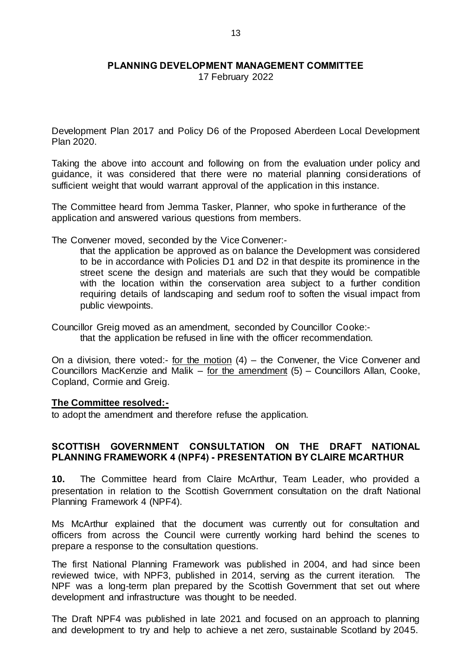17 February 2022

Development Plan 2017 and Policy D6 of the Proposed Aberdeen Local Development Plan 2020.

Taking the above into account and following on from the evaluation under policy and guidance, it was considered that there were no material planning considerations of sufficient weight that would warrant approval of the application in this instance.

The Committee heard from Jemma Tasker, Planner, who spoke in furtherance of the application and answered various questions from members.

The Convener moved, seconded by the Vice Convener:-

that the application be approved as on balance the Development was considered to be in accordance with Policies D1 and D2 in that despite its prominence in the street scene the design and materials are such that they would be compatible with the location within the conservation area subject to a further condition requiring details of landscaping and sedum roof to soften the visual impact from public viewpoints.

Councillor Greig moved as an amendment, seconded by Councillor Cooke: that the application be refused in line with the officer recommendation.

On a division, there voted:- for the motion (4) – the Convener, the Vice Convener and Councillors MacKenzie and Malik  $-$  for the amendment (5)  $-$  Councillors Allan, Cooke, Copland, Cormie and Greig.

#### **The Committee resolved:-**

to adopt the amendment and therefore refuse the application.

### **SCOTTISH GOVERNMENT CONSULTATION ON THE DRAFT NATIONAL PLANNING FRAMEWORK 4 (NPF4) - PRESENTATION BY CLAIRE MCARTHUR**

**10.** The Committee heard from Claire McArthur, Team Leader, who provided a presentation in relation to the Scottish Government consultation on the draft National Planning Framework 4 (NPF4).

Ms McArthur explained that the document was currently out for consultation and officers from across the Council were currently working hard behind the scenes to prepare a response to the consultation questions.

The first National Planning Framework was published in 2004, and had since been reviewed twice, with NPF3, published in 2014, serving as the current iteration. The NPF was a long-term plan prepared by the Scottish Government that set out where development and infrastructure was thought to be needed.

The Draft NPF4 was published in late 2021 and focused on an approach to planning and development to try and help to achieve a net zero, sustainable Scotland by 2045.